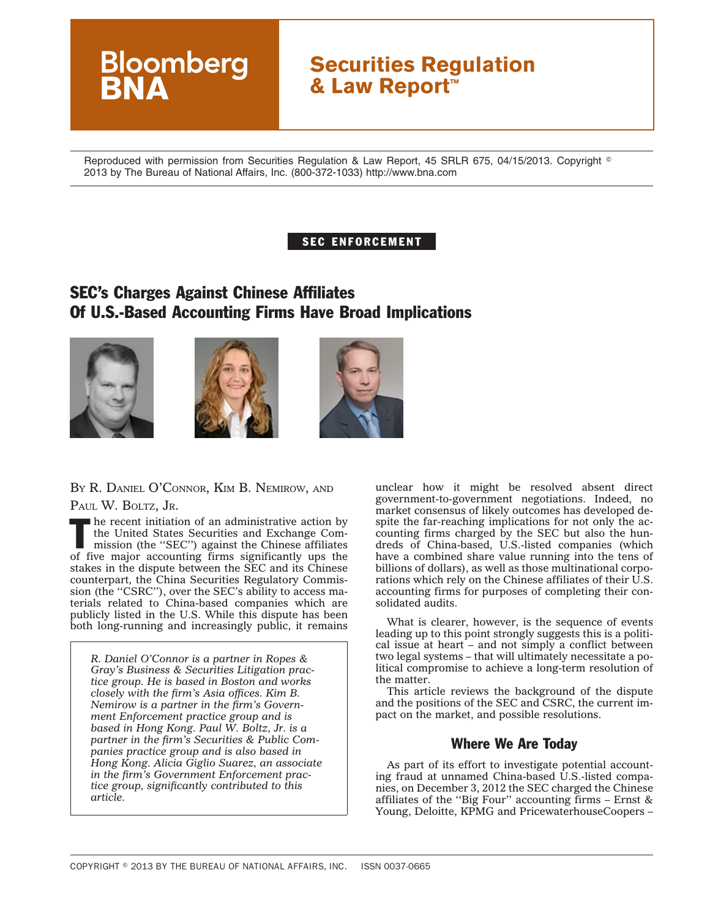# **Securities Regulation & Law Report™**

Reproduced with permission from Securities Regulation & Law Report, 45 SRLR 675, 04/15/2013. Copyright © 2013 by The Bureau of National Affairs, Inc. (800-372-1033) http://www.bna.com

#### SEC ENFORCEMENT

## SEC's Charges Against Chinese Affiliates Of U.S.-Based Accounting Firms Have Broad Implications







#### BY R. DANIEL O'CONNOR, KIM B. NEMIROW, AND PAUL W. BOLTZ, JR.

**Bloomberg** 

The recent initiation of an administrative action by<br>the United States Securities and Exchange Com-<br>mission (the "SEC") against the Chinese affiliates<br>of five spaces and the Chinese affiliates the United States Securities and Exchange Comof five major accounting firms significantly ups the stakes in the dispute between the SEC and its Chinese counterpart, the China Securities Regulatory Commission (the "CSRC"), over the SEC's ability to access materials related to China-based companies which are publicly listed in the U.S. While this dispute has been both long-running and increasingly public, it remains

*R. Daniel O'Connor is a partner in Ropes & Gray's Business & Securities Litigation practice group. He is based in Boston and works closely with the firm's Asia offices. Kim B. Nemirow is a partner in the firm's Government Enforcement practice group and is based in Hong Kong. Paul W. Boltz, Jr. is a partner in the firm's Securities & Public Companies practice group and is also based in Hong Kong. Alicia Giglio Suarez, an associate in the firm's Government Enforcement practice group, significantly contributed to this article.*

unclear how it might be resolved absent direct government-to-government negotiations. Indeed, no market consensus of likely outcomes has developed despite the far-reaching implications for not only the accounting firms charged by the SEC but also the hundreds of China-based, U.S.-listed companies (which have a combined share value running into the tens of billions of dollars), as well as those multinational corporations which rely on the Chinese affiliates of their U.S. accounting firms for purposes of completing their consolidated audits.

What is clearer, however, is the sequence of events leading up to this point strongly suggests this is a political issue at heart – and not simply a conflict between two legal systems – that will ultimately necessitate a political compromise to achieve a long-term resolution of the matter.

This article reviews the background of the dispute and the positions of the SEC and CSRC, the current impact on the market, and possible resolutions.

#### Where We Are Today

As part of its effort to investigate potential accounting fraud at unnamed China-based U.S.-listed companies, on December 3, 2012 the SEC charged the Chinese affiliates of the ''Big Four'' accounting firms – Ernst & Young, Deloitte, KPMG and PricewaterhouseCoopers –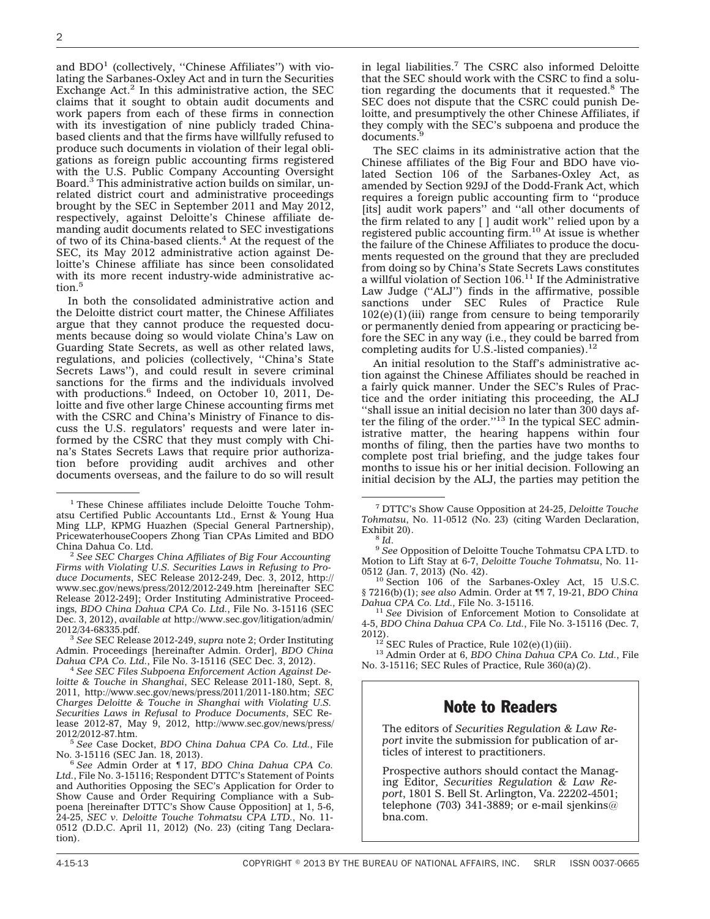and  $BDO<sup>1</sup>$  (collectively, "Chinese Affiliates") with violating the Sarbanes-Oxley Act and in turn the Securities Exchange  $Act<sup>2</sup>$  In this administrative action, the SEC claims that it sought to obtain audit documents and work papers from each of these firms in connection with its investigation of nine publicly traded Chinabased clients and that the firms have willfully refused to produce such documents in violation of their legal obligations as foreign public accounting firms registered with the U.S. Public Company Accounting Oversight Board.3 This administrative action builds on similar, unrelated district court and administrative proceedings brought by the SEC in September 2011 and May 2012, respectively, against Deloitte's Chinese affiliate demanding audit documents related to SEC investigations of two of its China-based clients.<sup>4</sup> At the request of the SEC, its May 2012 administrative action against Deloitte's Chinese affiliate has since been consolidated with its more recent industry-wide administrative action.<sup>5</sup>

In both the consolidated administrative action and the Deloitte district court matter, the Chinese Affiliates argue that they cannot produce the requested documents because doing so would violate China's Law on Guarding State Secrets, as well as other related laws, regulations, and policies (collectively, ''China's State Secrets Laws''), and could result in severe criminal sanctions for the firms and the individuals involved with productions.<sup>6</sup> Indeed, on October 10, 2011, Deloitte and five other large Chinese accounting firms met with the CSRC and China's Ministry of Finance to discuss the U.S. regulators' requests and were later informed by the CSRC that they must comply with China's States Secrets Laws that require prior authorization before providing audit archives and other documents overseas, and the failure to do so will result

<sup>1</sup> These Chinese affiliates include Deloitte Touche Tohmatsu Certified Public Accountants Ltd., Ernst & Young Hua Ming LLP, KPMG Huazhen (Special General Partnership), PricewaterhouseCoopers Zhong Tian CPAs Limited and BDO

**See SEC Charges China Affiliates of Big Four Accounting** *Firms with Violating U.S. Securities Laws in Refusing to Produce Documents*, SEC Release 2012-249, Dec. 3, 2012, [http://](http://www.sec.gov/news/press/2012/2012-249.htm) [www.sec.gov/news/press/2012/2012-249.htm](http://www.sec.gov/news/press/2012/2012-249.htm) [hereinafter SEC Release 2012-249]; Order Instituting Administrative Proceedings*, BDO China Dahua CPA Co. Ltd.*, File No. 3-15116 (SEC Dec. 3, 2012), *available at* [http://www.sec.gov/litigation/admin/](http://www.sec.gov/litigation/admin/2012/34-68335.pdf)

<sup>3</sup> See SEC Release 2012-249, *supra* note 2; Order Instituting Admin. Proceedings [hereinafter Admin. Order]*, BDO China*

<sup>4</sup> See SEC Files Subpoena Enforcement Action Against De*loitte & Touche in Shanghai*, SEC Release 2011-180, Sept. 8, 2011, [http://www.sec.gov/news/press/2011/2011-180.htm;](http://www.sec.gov/news/press/2011/2011-180.htm) *SEC Charges Deloitte & Touche in Shanghai with Violating U.S. Securities Laws in Refusal to Produce Documents*, SEC Release 2012-87, May 9, 2012, [http://www.sec.gov/news/press/](http://www.sec.gov/news/press/2012/2012-87.htm)<br>2012/2012-87.htm.

<sup>5</sup> See Case Docket, *BDO China Dahua CPA Co. Ltd.*, File No. 3-15116 (SEC Jan. 18, 2013). <sup>6</sup> *See* Admin Order at ¶ 17, *BDO China Dahua CPA Co.*

*Ltd.*, File No. 3-15116; Respondent DTTC's Statement of Points and Authorities Opposing the SEC's Application for Order to Show Cause and Order Requiring Compliance with a Subpoena [hereinafter DTTC's Show Cause Opposition] at 1, 5-6, 24-25, *SEC v. Deloitte Touche Tohmatsu CPA LTD.*, No. 11- 0512 (D.D.C. April 11, 2012) (No. 23) (citing Tang Declaration).

in legal liabilities.7 The CSRC also informed Deloitte that the SEC should work with the CSRC to find a solution regarding the documents that it requested.8 The SEC does not dispute that the CSRC could punish Deloitte, and presumptively the other Chinese Affiliates, if they comply with the SEC's subpoena and produce the documents.<sup>9</sup>

The SEC claims in its administrative action that the Chinese affiliates of the Big Four and BDO have violated Section 106 of the Sarbanes-Oxley Act, as amended by Section 929J of the Dodd-Frank Act, which requires a foreign public accounting firm to ''produce [its] audit work papers" and "all other documents of the firm related to any [ ] audit work'' relied upon by a registered public accounting firm.10 At issue is whether the failure of the Chinese Affiliates to produce the documents requested on the ground that they are precluded from doing so by China's State Secrets Laws constitutes a willful violation of Section 106.<sup>11</sup> If the Administrative Law Judge (''ALJ'') finds in the affirmative, possible sanctions under SEC Rules of Practice Rule  $102(e)(1)$ (iii) range from censure to being temporarily or permanently denied from appearing or practicing before the SEC in any way (i.e., they could be barred from completing audits for U.S.-listed companies). $12$ 

An initial resolution to the Staff's administrative action against the Chinese Affiliates should be reached in a fairly quick manner. Under the SEC's Rules of Practice and the order initiating this proceeding, the ALJ ''shall issue an initial decision no later than 300 days after the filing of the order."<sup>13</sup> In the typical SEC administrative matter, the hearing happens within four months of filing, then the parties have two months to complete post trial briefing, and the judge takes four months to issue his or her initial decision. Following an initial decision by the ALJ, the parties may petition the

<sup>8</sup> Id. 9 *See* Opposition of Deloitte Touche Tohmatsu CPA LTD. to Motion to Lift Stay at 6-7, *Deloitte Touche Tohmatsu*, No. 11-

 $10$  Section 106 of the Sarbanes-Oxley Act, 15 U.S.C. § 7216(b)(1); *see also* Admin. Order at ¶¶ 7, 19-21, *BDO China*

<sup>11</sup> See Division of Enforcement Motion to Consolidate at 4-5, *BDO China Dahua CPA Co. Ltd.*, File No. 3-15116 (Dec. 7, 2012). <sup>12</sup> SEC Rules of Practice, Rule 102(e)(1)(iii). <sup>13</sup> Admin Order at 6, *BDO China Dahua CPA Co. Ltd.*, File

No. 3-15116; SEC Rules of Practice, Rule 360(a)(2).

### Note to Readers

The editors of *Securities Regulation & Law Report* invite the submission for publication of articles of interest to practitioners.

Prospective authors should contact the Managing Editor, *Securities Regulation & Law Report*, 1801 S. Bell St. Arlington, Va. 22202-4501; telephone (703) 341-3889; or e-mail sjenkins@ bna.com.

<sup>7</sup> DTTC's Show Cause Opposition at 24-25, *Deloitte Touche Tohmatsu*, No. 11-0512 (No. 23) (citing Warden Declaration,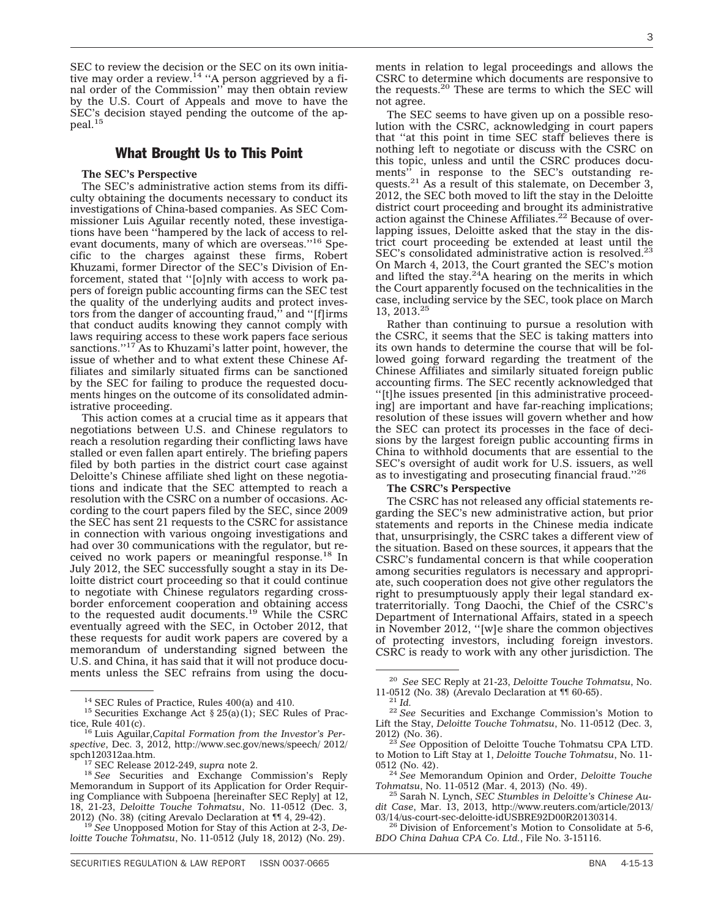SEC to review the decision or the SEC on its own initiative may order a review.<sup>14</sup> "A person aggrieved by a final order of the Commission'' may then obtain review by the U.S. Court of Appeals and move to have the SEC's decision stayed pending the outcome of the appeal.15

#### What Brought Us to This Point

#### **The SEC's Perspective**

The SEC's administrative action stems from its difficulty obtaining the documents necessary to conduct its investigations of China-based companies. As SEC Commissioner Luis Aguilar recently noted, these investigations have been ''hampered by the lack of access to relevant documents, many of which are overseas.''16 Specific to the charges against these firms, Robert Khuzami, former Director of the SEC's Division of Enforcement, stated that ''[o]nly with access to work papers of foreign public accounting firms can the SEC test the quality of the underlying audits and protect investors from the danger of accounting fraud,'' and ''[f]irms that conduct audits knowing they cannot comply with laws requiring access to these work papers face serious sanctions."<sup>17</sup> As to Khuzami's latter point, however, the issue of whether and to what extent these Chinese Affiliates and similarly situated firms can be sanctioned by the SEC for failing to produce the requested documents hinges on the outcome of its consolidated administrative proceeding.

This action comes at a crucial time as it appears that negotiations between U.S. and Chinese regulators to reach a resolution regarding their conflicting laws have stalled or even fallen apart entirely. The briefing papers filed by both parties in the district court case against Deloitte's Chinese affiliate shed light on these negotiations and indicate that the SEC attempted to reach a resolution with the CSRC on a number of occasions. According to the court papers filed by the SEC, since 2009 the SEC has sent 21 requests to the CSRC for assistance in connection with various ongoing investigations and had over 30 communications with the regulator, but received no work papers or meaningful response.<sup>18</sup> In July 2012, the SEC successfully sought a stay in its Deloitte district court proceeding so that it could continue to negotiate with Chinese regulators regarding crossborder enforcement cooperation and obtaining access to the requested audit documents.19 While the CSRC eventually agreed with the SEC, in October 2012, that these requests for audit work papers are covered by a memorandum of understanding signed between the U.S. and China, it has said that it will not produce documents unless the SEC refrains from using the documents in relation to legal proceedings and allows the CSRC to determine which documents are responsive to the requests.20 These are terms to which the SEC will not agree.

The SEC seems to have given up on a possible resolution with the CSRC, acknowledging in court papers that ''at this point in time SEC staff believes there is nothing left to negotiate or discuss with the CSRC on this topic, unless and until the CSRC produces docu-<br>ments" in response to the SEC's outstanding rein response to the SEC's outstanding requests. $21$  As a result of this stalemate, on December 3, 2012, the SEC both moved to lift the stay in the Deloitte district court proceeding and brought its administrative action against the Chinese Affiliates.<sup>22</sup> Because of overlapping issues, Deloitte asked that the stay in the district court proceeding be extended at least until the SEC's consolidated administrative action is resolved.<sup>23</sup> On March 4, 2013, the Court granted the SEC's motion and lifted the stay. $24A$  hearing on the merits in which the Court apparently focused on the technicalities in the case, including service by the SEC, took place on March 13, 2013.25

Rather than continuing to pursue a resolution with the CSRC, it seems that the SEC is taking matters into its own hands to determine the course that will be followed going forward regarding the treatment of the Chinese Affiliates and similarly situated foreign public accounting firms. The SEC recently acknowledged that ''[t]he issues presented [in this administrative proceeding] are important and have far-reaching implications; resolution of these issues will govern whether and how the SEC can protect its processes in the face of decisions by the largest foreign public accounting firms in China to withhold documents that are essential to the SEC's oversight of audit work for U.S. issuers, as well as to investigating and prosecuting financial fraud.''26

#### **The CSRC's Perspective**

The CSRC has not released any official statements regarding the SEC's new administrative action, but prior statements and reports in the Chinese media indicate that, unsurprisingly, the CSRC takes a different view of the situation. Based on these sources, it appears that the CSRC's fundamental concern is that while cooperation among securities regulators is necessary and appropriate, such cooperation does not give other regulators the right to presumptuously apply their legal standard extraterritorially. Tong Daochi, the Chief of the CSRC's Department of International Affairs, stated in a speech in November 2012, ''[w]e share the common objectives of protecting investors, including foreign investors. CSRC is ready to work with any other jurisdiction. The

3

<sup>&</sup>lt;sup>14</sup> SEC Rules of Practice, Rules 400(a) and 410.<br><sup>15</sup> Securities Exchange Act § 25(a)(1); SEC Rules of Prac-

tice, Rule 401(c). <sup>16</sup> Luis Aguilar,*Capital Formation from the Investor's Perspective*, Dec. 3, 2012, [http://www.sec.gov/news/speech/ 2012/](http://www.sec.gov/news/speech/ 2012/spch120312aa.htm)

<sup>&</sup>lt;sup>17</sup> SEC Release 2012-249, *supra* note 2. <sup>18</sup> *See* Securities and Exchange Commission's Reply Memorandum in Support of its Application for Order Requiring Compliance with Subpoena [hereinafter SEC Reply] at 12, 18, 21-23, *Deloitte Touche Tohmatsu*, No. 11-0512 (Dec. 3,

<sup>&</sup>lt;sup>19</sup> See Unopposed Motion for Stay of this Action at 2-3, De*loitte Touche Tohmatsu*, No. 11-0512 (July 18, 2012) (No. 29).

<sup>20</sup> *See* SEC Reply at 21-23, *Deloitte Touche Tohmatsu*, No.

<sup>&</sup>lt;sup>21</sup> Id.<br><sup>22</sup> See Securities and Exchange Commission's Motion to Lift the Stay, *Deloitte Touche Tohmatsu*, No. 11-0512 (Dec. 3,

<sup>&</sup>lt;sup>23</sup> See Opposition of Deloitte Touche Tohmatsu CPA LTD. to Motion to Lift Stay at 1, *Deloitte Touche Tohmatsu*, No. 11-

<sup>&</sup>lt;sup>24</sup> See Memorandum Opinion and Order, *Deloitte Touche*<br>Tohmatsu, No. 11-0512 (Mar. 4, 2013) (No. 49).

<sup>&</sup>lt;sup>25</sup> Sarah N. Lynch, *SEC Stumbles in Deloitte's Chinese Audit Case*, Mar. 13, 2013, [http://www.reuters.com/article/2013/](http://www.reuters.com/article/2013/03/14/us-court-sec-deloitte-idUSBRE92D00R20130314)

 $^{26}$  Division of Enforcement's Motion to Consolidate at 5-6, *BDO China Dahua CPA Co. Ltd.*, File No. 3-15116.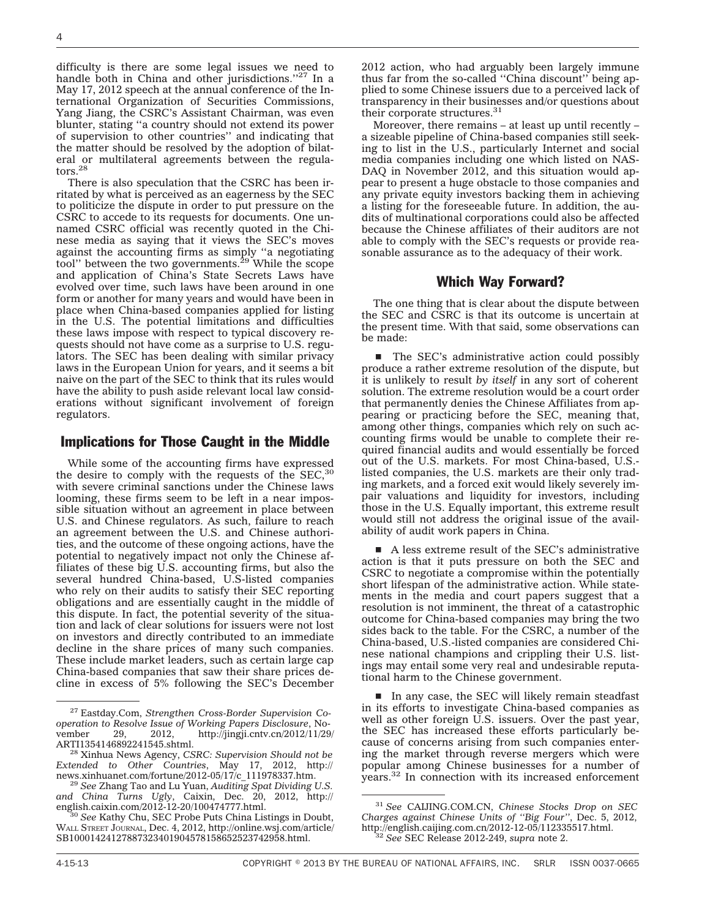difficulty is there are some legal issues we need to handle both in China and other jurisdictions."<sup>27</sup> In a May 17, 2012 speech at the annual conference of the International Organization of Securities Commissions, Yang Jiang, the CSRC's Assistant Chairman, was even blunter, stating ''a country should not extend its power of supervision to other countries'' and indicating that the matter should be resolved by the adoption of bilateral or multilateral agreements between the regulators.<sup>28</sup>

There is also speculation that the CSRC has been irritated by what is perceived as an eagerness by the SEC to politicize the dispute in order to put pressure on the CSRC to accede to its requests for documents. One unnamed CSRC official was recently quoted in the Chinese media as saying that it views the SEC's moves against the accounting firms as simply "a negotiating<br>tool'' between the two governments.<sup>29</sup> While the scope and application of China's State Secrets Laws have evolved over time, such laws have been around in one form or another for many years and would have been in place when China-based companies applied for listing in the U.S. The potential limitations and difficulties these laws impose with respect to typical discovery requests should not have come as a surprise to U.S. regulators. The SEC has been dealing with similar privacy laws in the European Union for years, and it seems a bit naive on the part of the SEC to think that its rules would have the ability to push aside relevant local law considerations without significant involvement of foreign regulators.

#### Implications for Those Caught in the Middle

While some of the accounting firms have expressed the desire to comply with the requests of the  $SEC.<sup>30</sup>$ with severe criminal sanctions under the Chinese laws looming, these firms seem to be left in a near impossible situation without an agreement in place between U.S. and Chinese regulators. As such, failure to reach an agreement between the U.S. and Chinese authorities, and the outcome of these ongoing actions, have the potential to negatively impact not only the Chinese affiliates of these big U.S. accounting firms, but also the several hundred China-based, U.S-listed companies who rely on their audits to satisfy their SEC reporting obligations and are essentially caught in the middle of this dispute. In fact, the potential severity of the situation and lack of clear solutions for issuers were not lost on investors and directly contributed to an immediate decline in the share prices of many such companies. These include market leaders, such as certain large cap China-based companies that saw their share prices decline in excess of 5% following the SEC's December 2012 action, who had arguably been largely immune thus far from the so-called ''China discount'' being applied to some Chinese issuers due to a perceived lack of transparency in their businesses and/or questions about their corporate structures.<sup>31</sup>

Moreover, there remains – at least up until recently – a sizeable pipeline of China-based companies still seeking to list in the U.S., particularly Internet and social media companies including one which listed on NAS-DAQ in November 2012, and this situation would appear to present a huge obstacle to those companies and any private equity investors backing them in achieving a listing for the foreseeable future. In addition, the audits of multinational corporations could also be affected because the Chinese affiliates of their auditors are not able to comply with the SEC's requests or provide reasonable assurance as to the adequacy of their work.

#### Which Way Forward?

The one thing that is clear about the dispute between the SEC and CSRC is that its outcome is uncertain at the present time. With that said, some observations can be made:

■ The SEC's administrative action could possibly produce a rather extreme resolution of the dispute, but it is unlikely to result *by itself* in any sort of coherent solution. The extreme resolution would be a court order that permanently denies the Chinese Affiliates from appearing or practicing before the SEC, meaning that, among other things, companies which rely on such accounting firms would be unable to complete their required financial audits and would essentially be forced out of the U.S. markets. For most China-based, U.S. listed companies, the U.S. markets are their only trading markets, and a forced exit would likely severely impair valuations and liquidity for investors, including those in the U.S. Equally important, this extreme result would still not address the original issue of the availability of audit work papers in China.

 $\blacksquare$  A less extreme result of the SEC's administrative action is that it puts pressure on both the SEC and CSRC to negotiate a compromise within the potentially short lifespan of the administrative action. While statements in the media and court papers suggest that a resolution is not imminent, the threat of a catastrophic outcome for China-based companies may bring the two sides back to the table. For the CSRC, a number of the China-based, U.S.-listed companies are considered Chinese national champions and crippling their U.S. listings may entail some very real and undesirable reputational harm to the Chinese government.

 $\blacksquare$  In any case, the SEC will likely remain steadfast in its efforts to investigate China-based companies as well as other foreign U.S. issuers. Over the past year, the SEC has increased these efforts particularly because of concerns arising from such companies entering the market through reverse mergers which were popular among Chinese businesses for a number of years.32 In connection with its increased enforcement

<sup>27</sup> Eastday.Com, *Strengthen Cross-Border Supervision Cooperation to Resolve Issue of Working Papers Disclosure*, November 29, 2012, [http://jingji.cntv.cn/2012/11/29/](http://jingji.cntv.cn/2012/11/29/ARTI1354146892241545.shtml)

<sup>&</sup>lt;sup>28</sup> Xinhua News Agency, *CSRC: Supervision Should not be Extended to Other Countries*, May 17, 2012, [http://](http://news.xinhuanet.com/fortune/2012-05/17/c_111978337.htm)

<sup>&</sup>lt;sup>29</sup> See Zhang Tao and Lu Yuan, *Auditing Spat Dividing U.S. and China Turns Ugly*, Caixin, Dec. 20, 2012, [http://](http://english.caixin.com/2012-12-20/100474777.html)

[english.caixin.com/2012-12-20/100474777.html.](http://english.caixin.com/2012-12-20/100474777.html) <sup>30</sup> *See* Kathy Chu, SEC Probe Puts China Listings in Doubt, WALL STREET JOURNAL, Dec. 4, 2012, [http://online.wsj.com/article/](http://online.wsj.com/) [SB10001424127887323401904578158652523742958.html.](http://online.wsj.com/)

<sup>31</sup> *See* CAIJING.COM.CN, *Chinese Stocks Drop on SEC Charges against Chinese Units of ''Big Four''*, Dec. 5, 2012, [http://english.caijing.com.cn/2012-12-05/112335517.html.](http://english.caijing.com.cn/2012-12-05/112335517.html) <sup>32</sup> *See* SEC Release 2012-249, *supra* note 2.